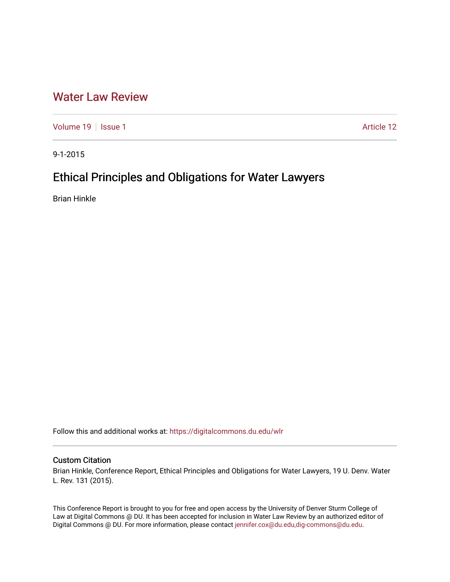## [Water Law Review](https://digitalcommons.du.edu/wlr)

[Volume 19](https://digitalcommons.du.edu/wlr/vol19) | [Issue 1](https://digitalcommons.du.edu/wlr/vol19/iss1) Article 12

9-1-2015

## Ethical Principles and Obligations for Water Lawyers

Brian Hinkle

Follow this and additional works at: [https://digitalcommons.du.edu/wlr](https://digitalcommons.du.edu/wlr?utm_source=digitalcommons.du.edu%2Fwlr%2Fvol19%2Fiss1%2F12&utm_medium=PDF&utm_campaign=PDFCoverPages) 

## Custom Citation

Brian Hinkle, Conference Report, Ethical Principles and Obligations for Water Lawyers, 19 U. Denv. Water L. Rev. 131 (2015).

This Conference Report is brought to you for free and open access by the University of Denver Sturm College of Law at Digital Commons @ DU. It has been accepted for inclusion in Water Law Review by an authorized editor of Digital Commons @ DU. For more information, please contact [jennifer.cox@du.edu,dig-commons@du.edu](mailto:jennifer.cox@du.edu,dig-commons@du.edu).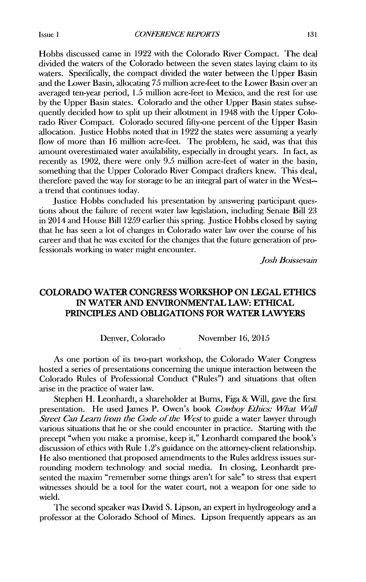Issue **I**

*CONkTIRENCE REP ORTS*

Hobbs discussed came in 1922 with the Colorado River Compact. The deal divided the waters of the Colorado between the seven states laying claim to its waters. Specifically, the compact divided the water between the Upper Basin and the Lower Basin, allocating 75 million acre-feet to the Lower Basin over an averaged ten-year period, 1.5 million acre-feet to Mexico, and the rest for use by the Upper Basin states. Colorado and the other Upper Basin states subsequently decided how to split up their allotment in 1948 with the Upper Colorado River Compact. Colorado secured fifty-one percent of the Upper Basin allocation. Justice Hobbs noted that in 1922 the states were assuming a yearly flow of more than 16 million acre-feet. The problem, he said, was that this amount overestimated water availability, especially in drought years. In fact, as recently as 1902, there were only 9.5 million acre-feet of water in the basin, something that the Upper Colorado River Compact drafters knew. This deal, therefore paved the way for storage to be an integral part of water in the Westa trend that continues today.

Justice Hobbs concluded his presentation by answering participant questions about the failure of recent water law legislation, including Senate Bill 23 in 2014 and House Bill 1259 earlier this spring. Justice Hobbs closed by saying that he has seen a lot of changes in Colorado water law over the course of his career and that he was excited for the changes that the future generation of professionals working in water might encounter.

*Josh Boissevain*

## **COLORADO** WATER **CONGRESS** WORKSHOP **ON LEGAL ETHICS IN WATER AND ENVIRONMENTAL LAW: ETHICAL PRINCIPLES AND OBLIGATIONS** FOR WATER **LAWYERS**

Denver, Colorado November **16,** 2015

As one portion of its two-part workshop, the Colorado Water Congress hosted a series of presentations concerning the unique interaction between the Colorado Rules of Professional Conduct ("Rules") and situations that often arise in the practice of water law.

Stephen H. Leonhardt, a shareholder at Bums, Figa **&** Will, gave the first presentation. He used James P. Owen's book *Cowboy Ethics: What Wall Street Can Learn from the Code of the West* to guide a water lawyer through various situations that he or she could encounter in practice. Starting with the precept "when you make a promise, keep it," Leonhardt compared the book's discussion of ethics with Rule 1.2's guidance on the attorney-client relationship. He also mentioned that proposed amendments to the Rules address issues surrounding modern technology and social media. In closing, Leonhardt presented the maxim "remember some things aren't for sale" to stress that expert witnesses should be a tool for the water court, not a weapon for one side to wield.

The second speaker was David S. Lipson, an expert in hydrogeology and a professor at the Colorado School of Mines. Lipson frequently appears as an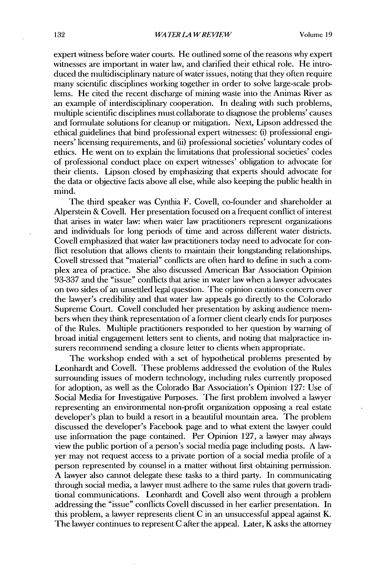expert witness before water courts. He outlined some of the reasons why expert witnesses are important in water law, and clarified their ethical role. He introduced the multidisciplinary nature of water issues, noting that they often require many scientific disciplines working together in order to solve large-scale problems. He cited the recent discharge of mining waste into the Animas River as an example of interdisciplinary cooperation. In dealing with such problems, multiple scientific disciplines must collaborate to diagnose the problems' causes and formulate solutions for cleanup or mitigation. Next, Lipson addressed the ethical guidelines that bind professional expert witnesses: (i) professional engineers' licensing requirements, and (ii) professional societies' voluntary codes of ethics. He went on to explain the limitations that professional societies' codes of professional conduct place on expert witnesses' obligation to advocate for their clients. Lipson closed by emphasizing that experts should advocate for the data or objective facts above all else, while also keeping the public health in mind.

The third speaker was Cynthia F. Covell, co-founder and shareholder at Alperstein & Covell. Her presentation focused on a frequent conflict of interest that arises in water law: when water law practitioners represent organizations and individuals for long periods of time and across different water districts. Covell emphasized that water law practitioners today need to advocate for conflict resolution that allows clients to maintain their longstanding relationships. Covell stressed that "material" conflicts are often hard to define in such a complex area of practice. She also discussed American Bar Association Opinion 93-337 and the "issue" conflicts that arise in water law when a lawyer advocates on two sides of an unsettled legal question. The opinion cautions concern over the lawyer's credibility and that water law appeals go directly to the Colorado Supreme Court. Covell concluded her presentation by asking audience members when they think representation of a former client clearly ends for purposes of the Rules. Multiple practitioners responded to her question by warning of broad initial engagement letters sent to clients, and noting that malpractice insurers recommend sending a closure letter to clients when appropriate.

The workshop ended with a set of hypothetical problems presented by Leonhardt and Covell. These problems addressed the evolution of the Rules surrounding issues of modern technology, including rules currently proposed for adoption, as well as the Colorado Bar Association's Opinion 127: Use of Social Media for Investigative Purposes. The first problem involved a lawyer representing an environmental non-profit organization opposing a real estate developer's plan to build a resort in a beautiful mountain area. The problem discussed the developer's Facebook page and to what extent the lawyer could use information the page contained. Per Opinion 127, a lawyer may always view the public portion of a person's social media page including posts. A lawyer may not request access to a private portion of a social media profile of a person represented by counsel in a matter without first obtaining permission. A lawyer also cannot delegate these tasks to a third party. In communicating through social media, a lawyer must adhere to the same rules that govern traditional communications. Leonhardt and Covell also went through a problem addressing the "issue" conflicts Covell discussed in her earlier presentation. In this problem, a lawyer represents client C in an unsuccessful appeal against K. The lawyer continues to represent C after the appeal. Later, K asks the attorney